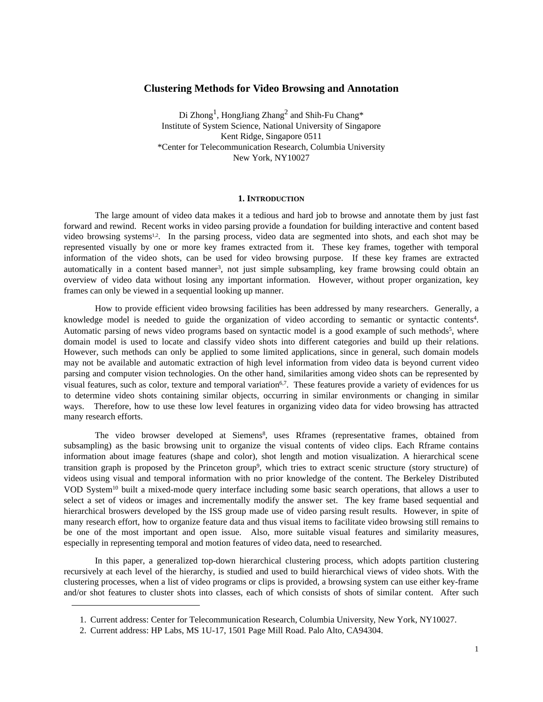# **Clustering Methods for Video Browsing and Annotation**

Di Zhong<sup>1</sup>, HongJiang Zhang<sup>2</sup> and Shih-Fu Chang\* Institute of System Science, National University of Singapore Kent Ridge, Singapore 0511 \*Center for Telecommunication Research, Columbia University New York, NY10027

### **1. INTRODUCTION**

The large amount of video data makes it a tedious and hard job to browse and annotate them by just fast forward and rewind. Recent works in video parsing provide a foundation for building interactive and content based video browsing systems<sup>1,2</sup>. In the parsing process, video data are segmented into shots, and each shot may be represented visually by one or more key frames extracted from it. These key frames, together with temporal information of the video shots, can be used for video browsing purpose. If these key frames are extracted automatically in a content based manner<sup>3</sup>, not just simple subsampling, key frame browsing could obtain an overview of video data without losing any important information. However, without proper organization, key frames can only be viewed in a sequential looking up manner.

How to provide efficient video browsing facilities has been addressed by many researchers. Generally, a knowledge model is needed to guide the organization of video according to semantic or syntactic contents<sup>4</sup>. Automatic parsing of news video programs based on syntactic model is a good example of such methods<sup>5</sup>, where domain model is used to locate and classify video shots into different categories and build up their relations. However, such methods can only be applied to some limited applications, since in general, such domain models may not be available and automatic extraction of high level information from video data is beyond current video parsing and computer vision technologies. On the other hand, similarities among video shots can be represented by visual features, such as color, texture and temporal variation<sup>6,7</sup>. These features provide a variety of evidences for us to determine video shots containing similar objects, occurring in similar environments or changing in similar ways. Therefore, how to use these low level features in organizing video data for video browsing has attracted many research efforts.

The video browser developed at Siemens<sup>8</sup>, uses Rframes (representative frames, obtained from subsampling) as the basic browsing unit to organize the visual contents of video clips. Each Rframe contains information about image features (shape and color), shot length and motion visualization. A hierarchical scene transition graph is proposed by the Princeton group9 , which tries to extract scenic structure (story structure) of videos using visual and temporal information with no prior knowledge of the content. The Berkeley Distributed VOD System10 built a mixed-mode query interface including some basic search operations, that allows a user to select a set of videos or images and incrementally modify the answer set. The key frame based sequential and hierarchical broswers developed by the ISS group made use of video parsing result results. However, in spite of many research effort, how to organize feature data and thus visual items to facilitate video browsing still remains to be one of the most important and open issue. Also, more suitable visual features and similarity measures, especially in representing temporal and motion features of video data, need to researched.

In this paper, a generalized top-down hierarchical clustering process, which adopts partition clustering recursively at each level of the hierarchy, is studied and used to build hierarchical views of video shots. With the clustering processes, when a list of video programs or clips is provided, a browsing system can use either key-frame and/or shot features to cluster shots into classes, each of which consists of shots of similar content. After such

<sup>1.</sup> Current address: Center for Telecommunication Research, Columbia University, New York, NY10027.

<sup>2.</sup> Current address: HP Labs, MS 1U-17, 1501 Page Mill Road. Palo Alto, CA94304.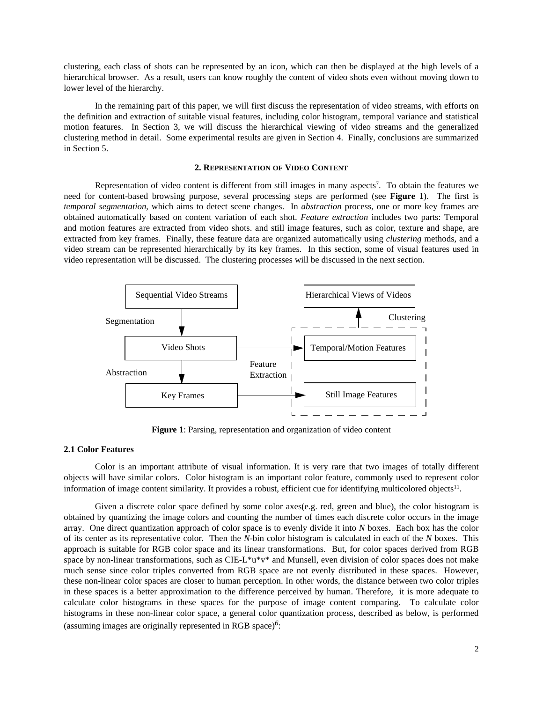clustering, each class of shots can be represented by an icon, which can then be displayed at the high levels of a hierarchical browser. As a result, users can know roughly the content of video shots even without moving down to lower level of the hierarchy.

In the remaining part of this paper, we will first discuss the representation of video streams, with efforts on the definition and extraction of suitable visual features, including color histogram, temporal variance and statistical motion features. In Section 3, we will discuss the hierarchical viewing of video streams and the generalized clustering method in detail. Some experimental results are given in Section 4. Finally, conclusions are summarized in Section 5.

#### **2. REPRESENTATION OF VIDEO CONTENT**

Representation of video content is different from still images in many aspects<sup>7</sup>. To obtain the features we need for content-based browsing purpose, several processing steps are performed (see **Figure 1**). The first is *temporal segmentation*, which aims to detect scene changes. In *abstraction* process, one or more key frames are obtained automatically based on content variation of each shot. *Feature extraction* includes two parts: Temporal and motion features are extracted from video shots. and still image features, such as color, texture and shape, are extracted from key frames. Finally, these feature data are organized automatically using *clustering* methods, and a video stream can be represented hierarchically by its key frames. In this section, some of visual features used in video representation will be discussed. The clustering processes will be discussed in the next section.



**Figure 1**: Parsing, representation and organization of video content

### **2.1 Color Features**

Color is an important attribute of visual information. It is very rare that two images of totally different objects will have similar colors. Color histogram is an important color feature, commonly used to represent color information of image content similarity. It provides a robust, efficient cue for identifying multicolored objects $11$ .

Given a discrete color space defined by some color axes(e.g. red, green and blue), the color histogram is obtained by quantizing the image colors and counting the number of times each discrete color occurs in the image array. One direct quantization approach of color space is to evenly divide it into *N* boxes. Each box has the color of its center as its representative color. Then the *N*-bin color histogram is calculated in each of the *N* boxes. This approach is suitable for RGB color space and its linear transformations. But, for color spaces derived from RGB space by non-linear transformations, such as CIE-L\*u\*v\* and Munsell, even division of color spaces does not make much sense since color triples converted from RGB space are not evenly distributed in these spaces. However, these non-linear color spaces are closer to human perception. In other words, the distance between two color triples in these spaces is a better approximation to the difference perceived by human. Therefore, it is more adequate to calculate color histograms in these spaces for the purpose of image content comparing. To calculate color histograms in these non-linear color space, a general color quantization process, described as below, is performed (assuming images are originally represented in RGB space)*6*: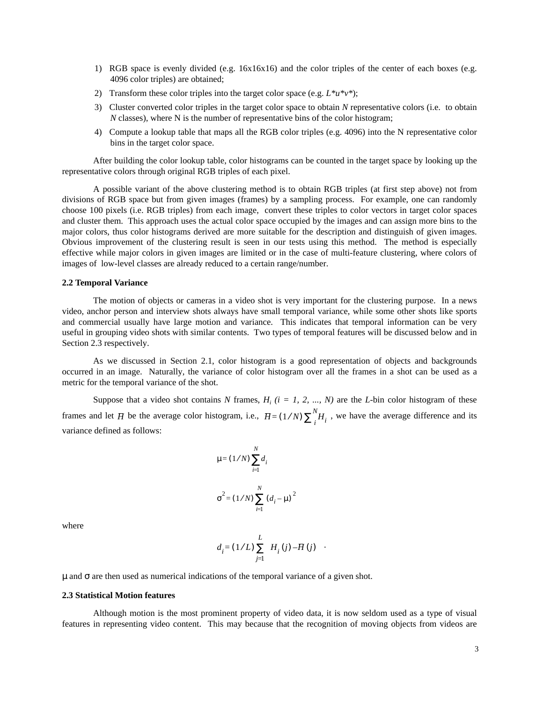- 1) RGB space is evenly divided (e.g. 16x16x16) and the color triples of the center of each boxes (e.g. 4096 color triples) are obtained;
- 2) Transform these color triples into the target color space (e.g.  $L^*u^*v^*$ );
- 3) Cluster converted color triples in the target color space to obtain *N* representative colors (i.e. to obtain *N* classes), where N is the number of representative bins of the color histogram;
- 4) Compute a lookup table that maps all the RGB color triples (e.g. 4096) into the N representative color bins in the target color space.

After building the color lookup table, color histograms can be counted in the target space by looking up the representative colors through original RGB triples of each pixel.

A possible variant of the above clustering method is to obtain RGB triples (at first step above) not from divisions of RGB space but from given images (frames) by a sampling process. For example, one can randomly choose 100 pixels (i.e. RGB triples) from each image, convert these triples to color vectors in target color spaces and cluster them. This approach uses the actual color space occupied by the images and can assign more bins to the major colors, thus color histograms derived are more suitable for the description and distinguish of given images. Obvious improvement of the clustering result is seen in our tests using this method. The method is especially effective while major colors in given images are limited or in the case of multi-feature clustering, where colors of images of low-level classes are already reduced to a certain range/number.

## **2.2 Temporal Variance**

The motion of objects or cameras in a video shot is very important for the clustering purpose. In a news video, anchor person and interview shots always have small temporal variance, while some other shots like sports and commercial usually have large motion and variance. This indicates that temporal information can be very useful in grouping video shots with similar contents. Two types of temporal features will be discussed below and in Section 2.3 respectively.

As we discussed in Section 2.1, color histogram is a good representation of objects and backgrounds occurred in an image. Naturally, the variance of color histogram over all the frames in a shot can be used as a metric for the temporal variance of the shot.

Suppose that a video shot contains N frames,  $H_i$  ( $i = 1, 2, ..., N$ ) are the *L*-bin color histogram of these frames and let H be the average color histogram, i.e.,  $H = (1/N) \sum_{i=1}^{N} H_i$ , we have the average difference and its variance defined as follows:  $I = (1/N) \sum_{i}^{N} H_{i}$ 

$$
\mu = (1/N) \sum_{i=1}^{N} d_i
$$
  

$$
\sigma^2 = (1/N) \sum_{i=1}^{N} (d_i - \mu)^2
$$

where

$$
d_i = (1/L) \sum_{j=1}^{L} \left( H_i(j) - H(j) \right)
$$

 $\mu$  and  $\sigma$  are then used as numerical indications of the temporal variance of a given shot.

# **2.3 Statistical Motion features**

Although motion is the most prominent property of video data, it is now seldom used as a type of visual features in representing video content. This may because that the recognition of moving objects from videos are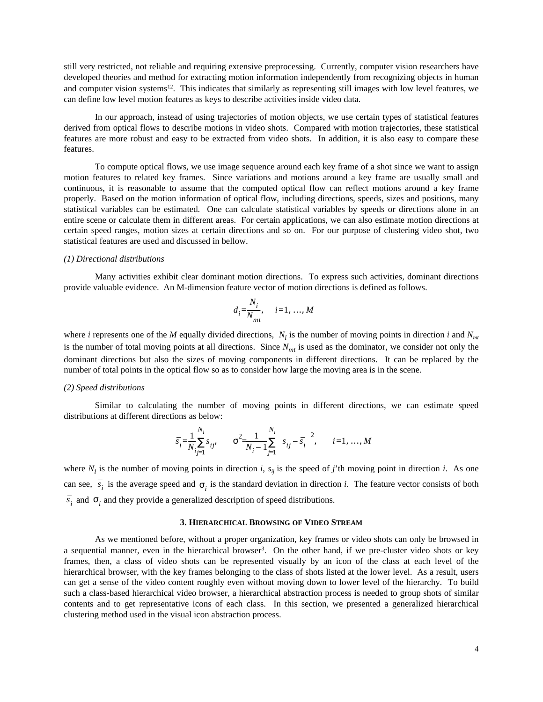still very restricted, not reliable and requiring extensive preprocessing. Currently, computer vision researchers have developed theories and method for extracting motion information independently from recognizing objects in human and computer vision systems<sup>12</sup>. This indicates that similarly as representing still images with low level features, we can define low level motion features as keys to describe activities inside video data.

In our approach, instead of using trajectories of motion objects, we use certain types of statistical features derived from optical flows to describe motions in video shots. Compared with motion trajectories, these statistical features are more robust and easy to be extracted from video shots. In addition, it is also easy to compare these features.

To compute optical flows, we use image sequence around each key frame of a shot since we want to assign motion features to related key frames. Since variations and motions around a key frame are usually small and continuous, it is reasonable to assume that the computed optical flow can reflect motions around a key frame properly. Based on the motion information of optical flow, including directions, speeds, sizes and positions, many statistical variables can be estimated. One can calculate statistical variables by speeds or directions alone in an entire scene or calculate them in different areas. For certain applications, we can also estimate motion directions at certain speed ranges, motion sizes at certain directions and so on. For our purpose of clustering video shot, two statistical features are used and discussed in bellow.

### *(1) Directional distributions*

Many activities exhibit clear dominant motion directions. To express such activities, dominant directions provide valuable evidence. An M-dimension feature vector of motion directions is defined as follows.

$$
d_i = \frac{N_i}{N_{mt}}, \quad i = 1, \dots, M
$$

where *i* represents one of the *M* equally divided directions,  $N_i$  is the number of moving points in direction *i* and  $N_{mt}$ is the number of total moving points at all directions. Since  $N<sub>mt</sub>$  is used as the dominator, we consider not only the dominant directions but also the sizes of moving components in different directions. It can be replaced by the number of total points in the optical flow so as to consider how large the moving area is in the scene.

#### *(2) Speed distributions*

Similar to calculating the number of moving points in different directions, we can estimate speed distributions at different directions as below:

$$
\bar{s}_i = \frac{1}{N_i} \sum_{i,j=1}^{N_i} s_{ij}, \qquad \sigma^2 = \frac{1}{N_i - 1} \sum_{j=1}^{N_i} \left( s_{ij} - \bar{s}_i \right)^2, \qquad i = 1, ..., M
$$

where  $N_i$  is the number of moving points in direction *i*,  $s_{ij}$  is the speed of *j*'th moving point in direction *i*. As one can see,  $s_i$  is the average speed and  $\sigma_i$  is the standard deviation in direction *i*. The feature vector consists of both  $s_i$  and  $\sigma_i$  and they provide a generalized description of speed distributions.

## **3. HIERARCHICAL BROWSING OF VIDEO STREAM**

As we mentioned before, without a proper organization, key frames or video shots can only be browsed in a sequential manner, even in the hierarchical browser<sup>3</sup>. On the other hand, if we pre-cluster video shots or key frames, then, a class of video shots can be represented visually by an icon of the class at each level of the hierarchical browser, with the key frames belonging to the class of shots listed at the lower level. As a result, users can get a sense of the video content roughly even without moving down to lower level of the hierarchy. To build such a class-based hierarchical video browser, a hierarchical abstraction process is needed to group shots of similar contents and to get representative icons of each class. In this section, we presented a generalized hierarchical clustering method used in the visual icon abstraction process.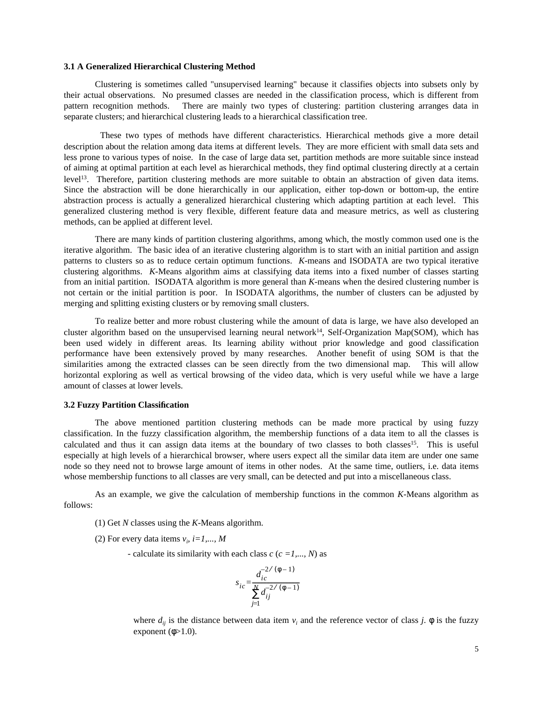### **3.1 A Generalized Hierarchical Clustering Method**

Clustering is sometimes called "unsupervised learning" because it classifies objects into subsets only by their actual observations. No presumed classes are needed in the classification process, which is different from pattern recognition methods. There are mainly two types of clustering: partition clustering arranges data in separate clusters; and hierarchical clustering leads to a hierarchical classification tree.

These two types of methods have different characteristics. Hierarchical methods give a more detail description about the relation among data items at different levels. They are more efficient with small data sets and less prone to various types of noise. In the case of large data set, partition methods are more suitable since instead of aiming at optimal partition at each level as hierarchical methods, they find optimal clustering directly at a certain level13. Therefore, partition clustering methods are more suitable to obtain an abstraction of given data items. Since the abstraction will be done hierarchically in our application, either top-down or bottom-up, the entire abstraction process is actually a generalized hierarchical clustering which adapting partition at each level. This generalized clustering method is very flexible, different feature data and measure metrics, as well as clustering methods, can be applied at different level.

There are many kinds of partition clustering algorithms, among which, the mostly common used one is the iterative algorithm. The basic idea of an iterative clustering algorithm is to start with an initial partition and assign patterns to clusters so as to reduce certain optimum functions. *K*-means and ISODATA are two typical iterative clustering algorithms. *K*-Means algorithm aims at classifying data items into a fixed number of classes starting from an initial partition. ISODATA algorithm is more general than *K*-means when the desired clustering number is not certain or the initial partition is poor. In ISODATA algorithms, the number of clusters can be adjusted by merging and splitting existing clusters or by removing small clusters.

To realize better and more robust clustering while the amount of data is large, we have also developed an cluster algorithm based on the unsupervised learning neural network<sup>14</sup>, Self-Organization Map(SOM), which has been used widely in different areas. Its learning ability without prior knowledge and good classification performance have been extensively proved by many researches. Another benefit of using SOM is that the similarities among the extracted classes can be seen directly from the two dimensional map. This will allow horizontal exploring as well as vertical browsing of the video data, which is very useful while we have a large amount of classes at lower levels.

# **3.2 Fuzzy Partition Classification**

The above mentioned partition clustering methods can be made more practical by using fuzzy classification. In the fuzzy classification algorithm, the membership functions of a data item to all the classes is calculated and thus it can assign data items at the boundary of two classes to both classes<sup>15</sup>. This is useful especially at high levels of a hierarchical browser, where users expect all the similar data item are under one same node so they need not to browse large amount of items in other nodes. At the same time, outliers, i.e. data items whose membership functions to all classes are very small, can be detected and put into a miscellaneous class.

As an example, we give the calculation of membership functions in the common *K*-Means algorithm as follows:

- (1) Get *N* classes using the *K*-Means algorithm.
- (2) For every data items  $v_i$ ,  $i=1,..., M$ 
	- calculate its similarity with each class *c* (*c =1,..., N*) as

$$
s_{ic} = \frac{d_{ic}^{-2/(\phi - 1)}}{\sum_{j=1}^{N} d_{ij}^{-2/(\phi - 1)}}
$$

where  $d_{ij}$  is the distance between data item  $v_i$  and the reference vector of class *j*.  $\phi$  is the fuzzy exponent  $(\phi > 1.0)$ .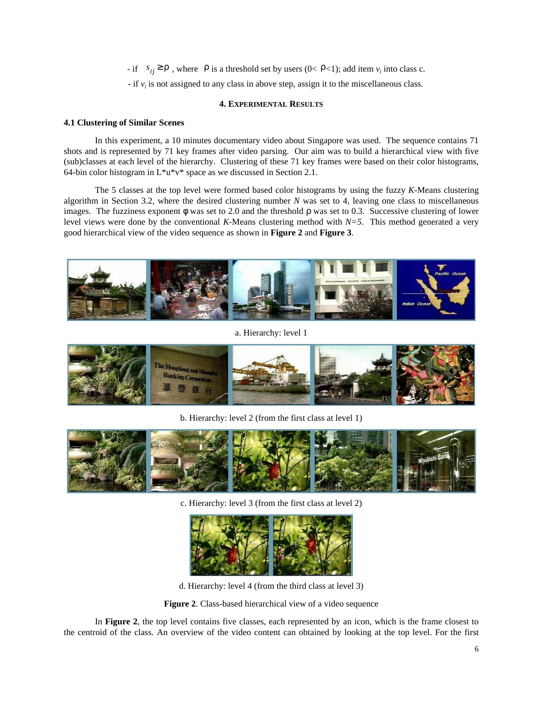$\text{if } s_{ij} \ge \rho$ , where  $\rho$  is a threshold set by users (0<  $\rho$ <1); add item *v<sub>i</sub>* into class c.

 $-$  if  $v_i$  is not assigned to any class in above step, assign it to the miscellaneous class.

# **4. EXPERIMENTAL RESULTS**

# **4.1 Clustering of Similar Scenes**

In this experiment, a 10 minutes documentary video about Singapore was used. The sequence contains 71 shots and is represented by 71 key frames after video parsing. Our aim was to build a hierarchical view with five (sub)classes at each level of the hierarchy. Clustering of these 71 key frames were based on their color histograms, 64-bin color histogram in  $L^*u^*v^*$  space as we discussed in Section 2.1.

The 5 classes at the top level were formed based color histograms by using the fuzzy *K*-Means clustering algorithm in Section 3.2, where the desired clustering number *N* was set to 4, leaving one class to miscellaneous images. The fuzziness exponent  $\phi$  was set to 2.0 and the threshold  $\rho$  was set to 0.3. Successive clustering of lower level views were done by the conventional *K*-Means clustering method with *N=5*. This method generated a very good hierarchical view of the video sequence as shown in **Figure 2** and **Figure 3**.



a. Hierarchy: level 1



b. Hierarchy: level 2 (from the first class at level 1)



c. Hierarchy: level 3 (from the first class at level 2)



d. Hierarchy: level 4 (from the third class at level 3)

**Figure 2**. Class-based hierarchical view of a video sequence

In **Figure 2**, the top level contains five classes, each represented by an icon, which is the frame closest to the centroid of the class. An overview of the video content can obtained by looking at the top level. For the first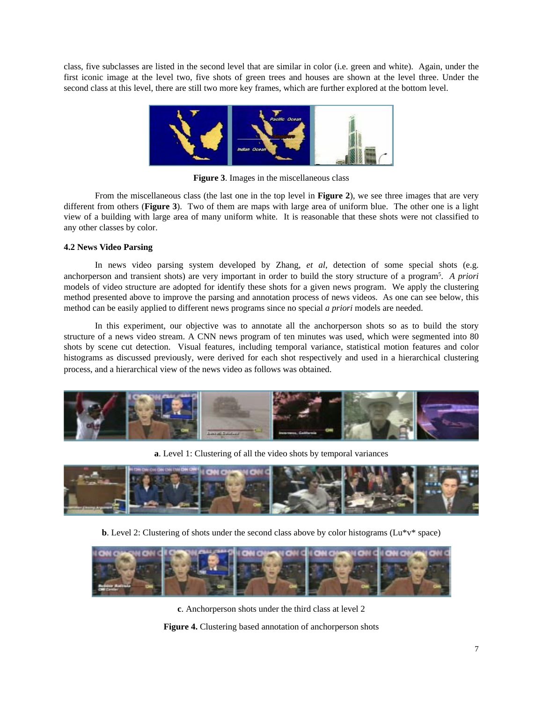class, five subclasses are listed in the second level that are similar in color (i.e. green and white). Again, under the first iconic image at the level two, five shots of green trees and houses are shown at the level three. Under the second class at this level, there are still two more key frames, which are further explored at the bottom level.



**Figure 3**. Images in the miscellaneous class

From the miscellaneous class (the last one in the top level in **Figure 2**), we see three images that are very different from others (**Figure 3**). Two of them are maps with large area of uniform blue. The other one is a light view of a building with large area of many uniform white. It is reasonable that these shots were not classified to any other classes by color.

# **4.2 News Video Parsing**

In news video parsing system developed by Zhang, *et al*, detection of some special shots (e.g. anchorperson and transient shots) are very important in order to build the story structure of a program5. *A priori* models of video structure are adopted for identify these shots for a given news program. We apply the clustering method presented above to improve the parsing and annotation process of news videos. As one can see below, this method can be easily applied to different news programs since no special *a priori* models are needed.

In this experiment, our objective was to annotate all the anchorperson shots so as to build the story structure of a news video stream. A CNN news program of ten minutes was used, which were segmented into 80 shots by scene cut detection. Visual features, including temporal variance, statistical motion features and color histograms as discussed previously, were derived for each shot respectively and used in a hierarchical clustering process, and a hierarchical view of the news video as follows was obtained.



**a**. Level 1: Clustering of all the video shots by temporal variances



**b**. Level 2: Clustering of shots under the second class above by color histograms ( $Lu*v*$  space)



**c**. Anchorperson shots under the third class at level 2

**Figure 4.** Clustering based annotation of anchorperson shots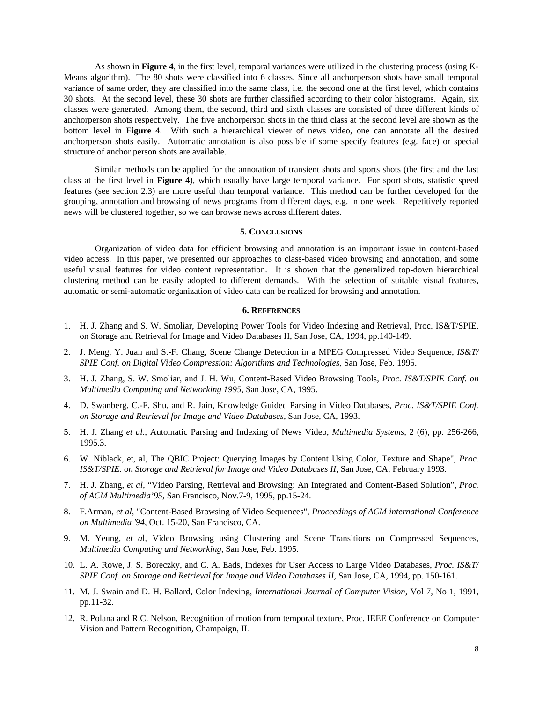As shown in **Figure 4**, in the first level, temporal variances were utilized in the clustering process (using K-Means algorithm). The 80 shots were classified into 6 classes. Since all anchorperson shots have small temporal variance of same order, they are classified into the same class, i.e. the second one at the first level, which contains 30 shots. At the second level, these 30 shots are further classified according to their color histograms. Again, six classes were generated. Among them, the second, third and sixth classes are consisted of three different kinds of anchorperson shots respectively. The five anchorperson shots in the third class at the second level are shown as the bottom level in **Figure 4**. With such a hierarchical viewer of news video, one can annotate all the desired anchorperson shots easily. Automatic annotation is also possible if some specify features (e.g. face) or special structure of anchor person shots are available.

Similar methods can be applied for the annotation of transient shots and sports shots (the first and the last class at the first level in **Figure 4**), which usually have large temporal variance. For sport shots, statistic speed features (see section 2.3) are more useful than temporal variance. This method can be further developed for the grouping, annotation and browsing of news programs from different days, e.g. in one week. Repetitively reported news will be clustered together, so we can browse news across different dates.

### **5. CONCLUSIONS**

Organization of video data for efficient browsing and annotation is an important issue in content-based video access. In this paper, we presented our approaches to class-based video browsing and annotation, and some useful visual features for video content representation. It is shown that the generalized top-down hierarchical clustering method can be easily adopted to different demands. With the selection of suitable visual features, automatic or semi-automatic organization of video data can be realized for browsing and annotation.

### **6. REFERENCES**

- 1. H. J. Zhang and S. W. Smoliar, Developing Power Tools for Video Indexing and Retrieval, Proc. IS&T/SPIE. on Storage and Retrieval for Image and Video Databases II, San Jose, CA, 1994, pp.140-149.
- 2. J. Meng, Y. Juan and S.-F. Chang, Scene Change Detection in a MPEG Compressed Video Sequence, *IS&T/ SPIE Conf. on Digital Video Compression: Algorithms and Technologies*, San Jose, Feb. 1995.
- 3. H. J. Zhang, S. W. Smoliar, and J. H. Wu, Content-Based Video Browsing Tools, *Proc. IS&T/SPIE Conf. on Multimedia Computing and Networking 1995*, San Jose, CA, 1995.
- 4. D. Swanberg, C.-F. Shu, and R. Jain, Knowledge Guided Parsing in Video Databases, *Proc. IS&T/SPIE Conf. on Storage and Retrieval for Image and Video Databases*, San Jose, CA, 1993.
- 5. H. J. Zhang *et al*., Automatic Parsing and Indexing of News Video, *Multimedia Systems,* 2 (6), pp. 256-266, 1995.3.
- 6. W. Niblack, et, al, The QBIC Project: Querying Images by Content Using Color, Texture and Shape", *Proc. IS&T/SPIE. on Storage and Retrieval for Image and Video Databases II*, San Jose, CA, February 1993.
- 7. H. J. Zhang, *et al,* "Video Parsing, Retrieval and Browsing: An Integrated and Content-Based Solution", *Proc. of ACM Multimedia'95*, San Francisco, Nov.7-9, 1995, pp.15-24.
- 8. F.Arman, *et al*, "Content-Based Browsing of Video Sequences", *Proceedings of ACM international Conference on Multimedia '94*, Oct. 15-20, San Francisco, CA.
- 9. M. Yeung, *et a*l, Video Browsing using Clustering and Scene Transitions on Compressed Sequences, *Multimedia Computing and Networking*, San Jose, Feb. 1995.
- 10. L. A. Rowe, J. S. Boreczky, and C. A. Eads, Indexes for User Access to Large Video Databases, *Proc. IS&T/ SPIE Conf. on Storage and Retrieval for Image and Video Databases II*, San Jose, CA, 1994, pp. 150-161.
- 11. M. J. Swain and D. H. Ballard, Color Indexing, *International Journal of Computer Vision*, Vol 7, No 1, 1991, pp.11-32.
- 12. R. Polana and R.C. Nelson, Recognition of motion from temporal texture, Proc. IEEE Conference on Computer Vision and Pattern Recognition, Champaign, IL